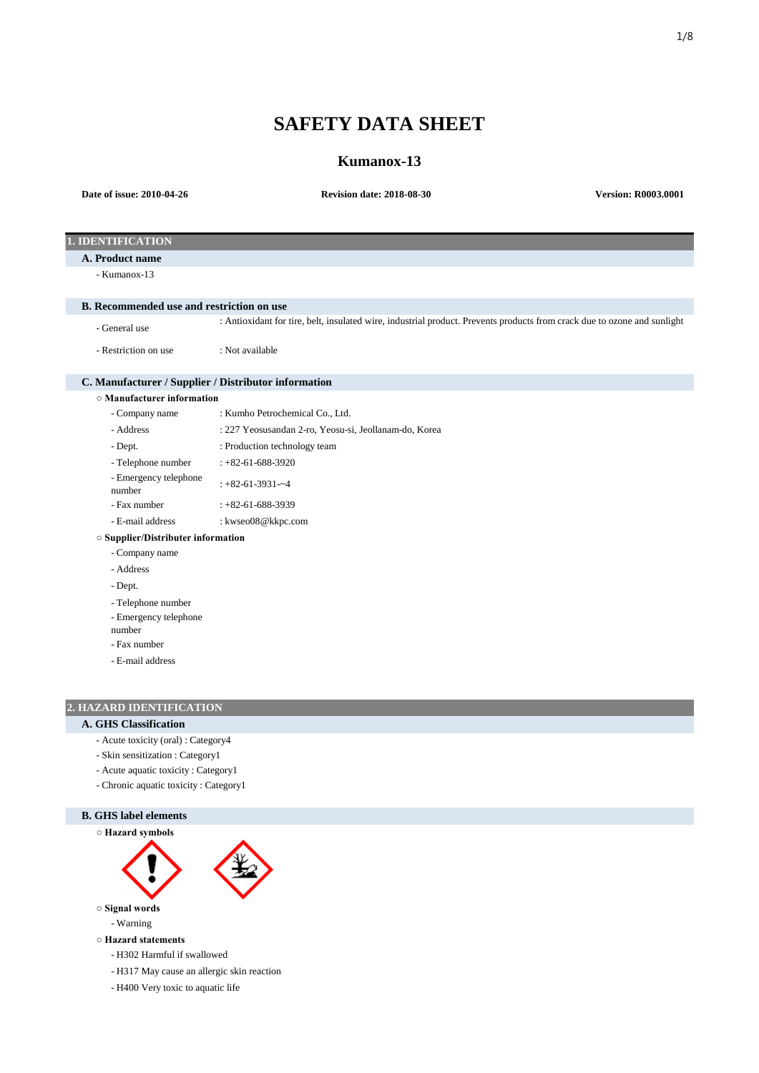# **SAFETY DATA SHEET**

## **Kumanox-13**

| Date of issue: 2010-04-26                            | <b>Revision date: 2018-08-30</b>                                                                                         | <b>Version: R0003.0001</b> |  |  |
|------------------------------------------------------|--------------------------------------------------------------------------------------------------------------------------|----------------------------|--|--|
|                                                      |                                                                                                                          |                            |  |  |
|                                                      |                                                                                                                          |                            |  |  |
| 1. IDENTIFICATION                                    |                                                                                                                          |                            |  |  |
| A. Product name                                      |                                                                                                                          |                            |  |  |
| - Kumanox-13                                         |                                                                                                                          |                            |  |  |
| <b>B.</b> Recommended use and restriction on use     |                                                                                                                          |                            |  |  |
| - General use                                        | : Antioxidant for tire, belt, insulated wire, industrial product. Prevents products from crack due to ozone and sunlight |                            |  |  |
| - Restriction on use                                 | : Not available                                                                                                          |                            |  |  |
| C. Manufacturer / Supplier / Distributor information |                                                                                                                          |                            |  |  |
| $\circ$ Manufacturer information                     |                                                                                                                          |                            |  |  |
| - Company name                                       | : Kumho Petrochemical Co., Ltd.                                                                                          |                            |  |  |
| - Address                                            | : 227 Yeosusandan 2-ro, Yeosu-si, Jeollanam-do, Korea                                                                    |                            |  |  |
| - Dept.                                              | : Production technology team                                                                                             |                            |  |  |
| - Telephone number                                   | $: +82 - 61 - 688 - 3920$                                                                                                |                            |  |  |
| - Emergency telephone<br>number                      | $: +82 - 61 - 3931 - 4$                                                                                                  |                            |  |  |
| - Fax number                                         | $: +82 - 61 - 688 - 3939$                                                                                                |                            |  |  |
| - E-mail address                                     | : kwseo08@kkpc.com                                                                                                       |                            |  |  |
| ○ Supplier/Distributer information                   |                                                                                                                          |                            |  |  |
| - Company name                                       |                                                                                                                          |                            |  |  |
| - Address                                            |                                                                                                                          |                            |  |  |
| - Dept.                                              |                                                                                                                          |                            |  |  |
| - Telephone number                                   |                                                                                                                          |                            |  |  |
| - Emergency telephone                                |                                                                                                                          |                            |  |  |
| number                                               |                                                                                                                          |                            |  |  |
| - Fax number                                         |                                                                                                                          |                            |  |  |
| - E-mail address                                     |                                                                                                                          |                            |  |  |

## **2. HAZARD IDENTIFICATION**

## **A. GHS Classification**

- Acute toxicity (oral) : Category4
- Skin sensitization : Category1
- Acute aquatic toxicity : Category1
- Chronic aquatic toxicity : Category1



- H400 Very toxic to aquatic life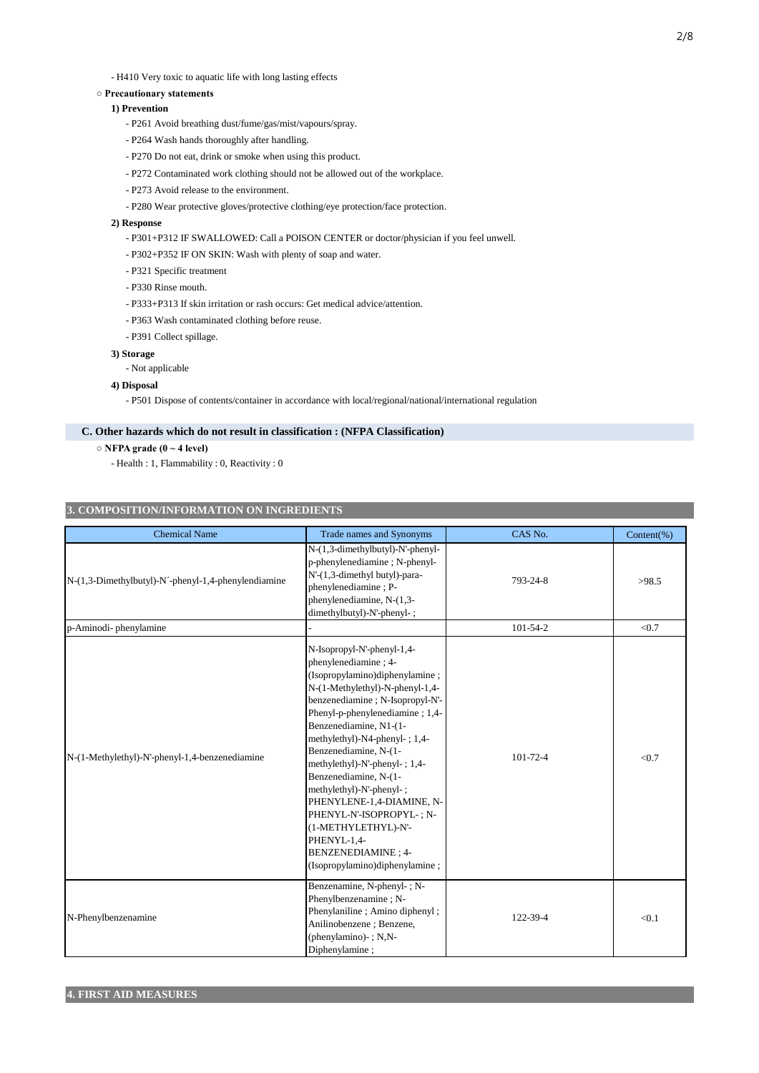## **○ Precautionary statements**

## **1) Prevention**

- P261 Avoid breathing dust/fume/gas/mist/vapours/spray.
- P264 Wash hands thoroughly after handling.
- P270 Do not eat, drink or smoke when using this product.
- P272 Contaminated work clothing should not be allowed out of the workplace.
- P273 Avoid release to the environment.
- P280 Wear protective gloves/protective clothing/eye protection/face protection.

### **2) Response**

- P301+P312 IF SWALLOWED: Call a POISON CENTER or doctor/physician if you feel unwell.
- P302+P352 IF ON SKIN: Wash with plenty of soap and water.
- P321 Specific treatment
- P330 Rinse mouth.
- P333+P313 If skin irritation or rash occurs: Get medical advice/attention.
- P363 Wash contaminated clothing before reuse.
- P391 Collect spillage.

## **3) Storage**

- Not applicable

## **4) Disposal**

- P501 Dispose of contents/container in accordance with local/regional/national/international regulation

## **C. Other hazards which do not result in classification : (NFPA Classification)**

- **NFPA grade (0 ~ 4 level)**
	- Health : 1, Flammability : 0, Reactivity : 0

## **3. COMPOSITION/INFORMATION ON INGREDIENTS**

| <b>Chemical Name</b>                                 | Trade names and Synonyms                                                                                                                                                                                                                                                                                                                                                                                                                                                                                                               | CAS No.        | Content(%) |
|------------------------------------------------------|----------------------------------------------------------------------------------------------------------------------------------------------------------------------------------------------------------------------------------------------------------------------------------------------------------------------------------------------------------------------------------------------------------------------------------------------------------------------------------------------------------------------------------------|----------------|------------|
| N-(1,3-Dimethylbutyl)-N '-phenyl-1,4-phenylendiamine | N-(1,3-dimethylbutyl)-N'-phenyl-<br>p-phenylenediamine; N-phenyl-<br>N'-(1,3-dimethyl butyl)-para-<br>phenylenediamine ; P-<br>phenylenediamine, N-(1,3-<br>dimethylbutyl)-N'-phenyl-;                                                                                                                                                                                                                                                                                                                                                 | 793-24-8       | >98.5      |
| p-Aminodi-phenylamine                                |                                                                                                                                                                                                                                                                                                                                                                                                                                                                                                                                        | $101 - 54 - 2$ | < 0.7      |
| N-(1-Methylethyl)-N'-phenyl-1,4-benzenediamine       | N-Isopropyl-N'-phenyl-1,4-<br>phenylenediamine; 4-<br>(Isopropylamino)diphenylamine;<br>N-(1-Methylethyl)-N-phenyl-1,4-<br>benzenediamine; N-Isopropyl-N'-<br>Phenyl-p-phenylenediamine; 1,4-<br>Benzenediamine, N1-(1-<br>methylethyl)-N4-phenyl-; 1,4-<br>Benzenediamine, N-(1-<br>methylethyl)-N'-phenyl-; 1,4-<br>Benzenediamine, N-(1-<br>methylethyl)-N'-phenyl-;<br>PHENYLENE-1,4-DIAMINE, N-<br>PHENYL-N'-ISOPROPYL-; N-<br>(1-METHYLETHYL)-N'-<br>PHENYL-1,4-<br><b>BENZENEDIAMINE</b> ; 4-<br>(Isopropylamino)diphenylamine; | 101-72-4       | < 0.7      |
| N-Phenylbenzenamine                                  | Benzenamine, N-phenyl-; N-<br>Phenylbenzenamine; N-<br>Phenylaniline; Amino diphenyl;<br>Anilinobenzene; Benzene,<br>(phenylamino) $-$ ; N,N $-$<br>Diphenylamine:                                                                                                                                                                                                                                                                                                                                                                     | 122-39-4       | < 0.1      |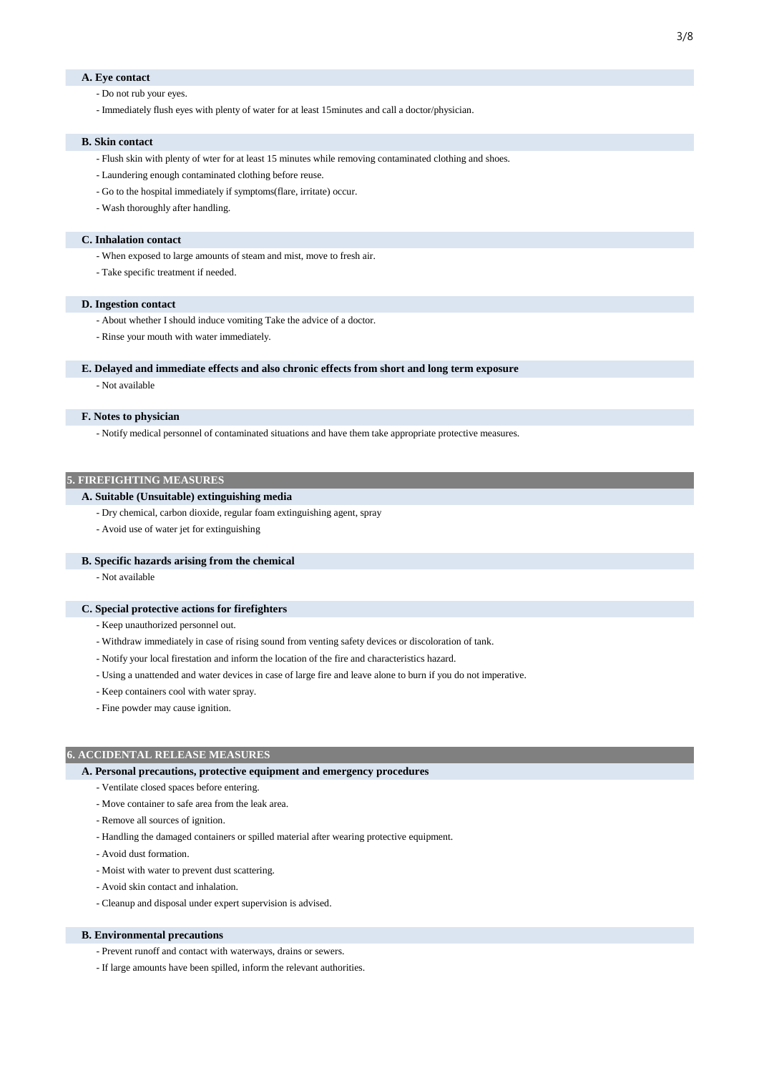## **A. Eye contact**

- Do not rub your eyes.
- Immediately flush eyes with plenty of water for at least 15minutes and call a doctor/physician.

### **B. Skin contact**

- Flush skin with plenty of wter for at least 15 minutes while removing contaminated clothing and shoes.
- Laundering enough contaminated clothing before reuse.
- Go to the hospital immediately if symptoms(flare, irritate) occur.
- Wash thoroughly after handling.

### **C. Inhalation contact**

- When exposed to large amounts of steam and mist, move to fresh air.
- Take specific treatment if needed.

## **D. Ingestion contact**

- About whether I should induce vomiting Take the advice of a doctor.
- Rinse your mouth with water immediately.

## **E. Delayed and immediate effects and also chronic effects from short and long term exposure**

- Not available

## **F. Notes to physician**

- Notify medical personnel of contaminated situations and have them take appropriate protective measures.

## **5. FIREFIGHTING MEASURES**

## **A. Suitable (Unsuitable) extinguishing media**

- Dry chemical, carbon dioxide, regular foam extinguishing agent, spray
- Avoid use of water jet for extinguishing

### **B. Specific hazards arising from the chemical**

- Not available

## **C. Special protective actions for firefighters**

- Keep unauthorized personnel out.
- Withdraw immediately in case of rising sound from venting safety devices or discoloration of tank.
- Notify your local firestation and inform the location of the fire and characteristics hazard.
- Using a unattended and water devices in case of large fire and leave alone to burn if you do not imperative.
- Keep containers cool with water spray.
- Fine powder may cause ignition.

### **6. ACCIDENTAL RELEASE MEASURES**

## **A. Personal precautions, protective equipment and emergency procedures**

- Ventilate closed spaces before entering.
- Move container to safe area from the leak area.
- Remove all sources of ignition.
- Handling the damaged containers or spilled material after wearing protective equipment.
- Avoid dust formation.
- Moist with water to prevent dust scattering.
- Avoid skin contact and inhalation.
- Cleanup and disposal under expert supervision is advised.

## **B. Environmental precautions**

- Prevent runoff and contact with waterways, drains or sewers.
- If large amounts have been spilled, inform the relevant authorities.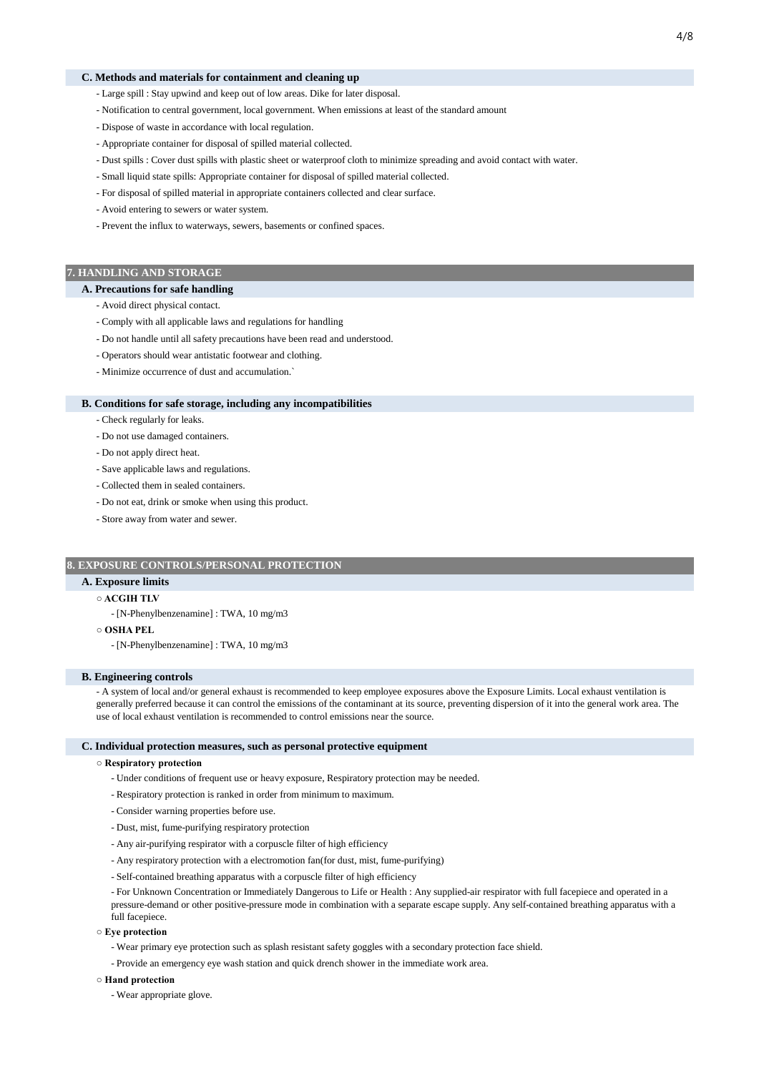### **C. Methods and materials for containment and cleaning up**

- Large spill : Stay upwind and keep out of low areas. Dike for later disposal.
- Notification to central government, local government. When emissions at least of the standard amount
- Dispose of waste in accordance with local regulation.
- Appropriate container for disposal of spilled material collected.
- Dust spills : Cover dust spills with plastic sheet or waterproof cloth to minimize spreading and avoid contact with water.
- Small liquid state spills: Appropriate container for disposal of spilled material collected.
- For disposal of spilled material in appropriate containers collected and clear surface.
- Avoid entering to sewers or water system.
- Prevent the influx to waterways, sewers, basements or confined spaces.

## **7. HANDLING AND STORAGE**

### **A. Precautions for safe handling**

- Avoid direct physical contact.
- Comply with all applicable laws and regulations for handling
- Do not handle until all safety precautions have been read and understood.
- Operators should wear antistatic footwear and clothing.
- Minimize occurrence of dust and accumulation.`

### **B. Conditions for safe storage, including any incompatibilities**

- Check regularly for leaks.

- Do not use damaged containers.
- Do not apply direct heat.
- Save applicable laws and regulations.
- Collected them in sealed containers.
- Do not eat, drink or smoke when using this product.
- Store away from water and sewer.

## **8. EXPOSURE CONTROLS/PERSONAL PROTECTION**

## **A. Exposure limits**

## **○ ACGIH TLV**

- [N-Phenylbenzenamine] : TWA, 10 mg/m3

**○ OSHA PEL**

- [N-Phenylbenzenamine] : TWA, 10 mg/m3

## **B. Engineering controls**

- A system of local and/or general exhaust is recommended to keep employee exposures above the Exposure Limits. Local exhaust ventilation is generally preferred because it can control the emissions of the contaminant at its source, preventing dispersion of it into the general work area. The use of local exhaust ventilation is recommended to control emissions near the source.

### **C. Individual protection measures, such as personal protective equipment**

### **○ Respiratory protection**

- Under conditions of frequent use or heavy exposure, Respiratory protection may be needed.
- Respiratory protection is ranked in order from minimum to maximum.
- Consider warning properties before use.
- Dust, mist, fume-purifying respiratory protection
- Any air-purifying respirator with a corpuscle filter of high efficiency
- Any respiratory protection with a electromotion fan(for dust, mist, fume-purifying)
- Self-contained breathing apparatus with a corpuscle filter of high efficiency

- For Unknown Concentration or Immediately Dangerous to Life or Health : Any supplied-air respirator with full facepiece and operated in a pressure-demand or other positive-pressure mode in combination with a separate escape supply. Any self-contained breathing apparatus with a full facepiece.

- **Eye protection**
	- Wear primary eye protection such as splash resistant safety goggles with a secondary protection face shield.
	- Provide an emergency eye wash station and quick drench shower in the immediate work area.

## **○ Hand protection**

- Wear appropriate glove.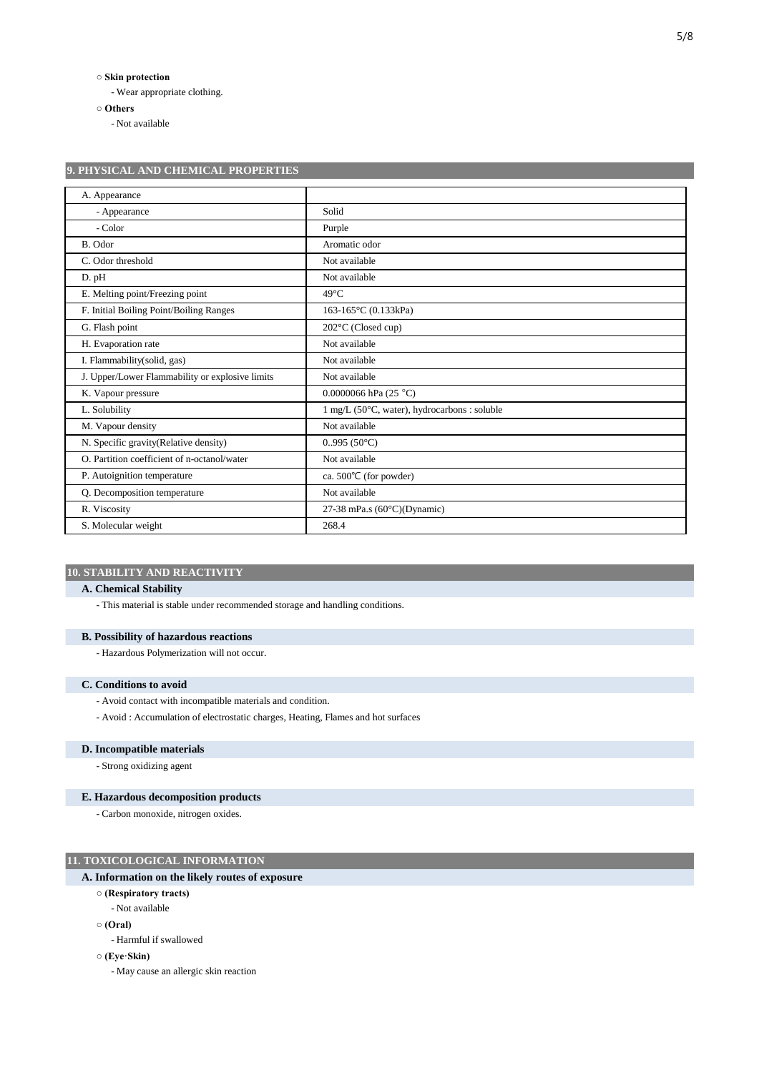## **○ Skin protection**

- Wear appropriate clothing.

**9. PHYSICAL AND CHEMICAL PROPERTIES**

**○ Others**

- Not available

| A. Appearance                                   |                                                          |
|-------------------------------------------------|----------------------------------------------------------|
| - Appearance                                    | Solid                                                    |
| - Color                                         | Purple                                                   |
| B. Odor                                         | Aromatic odor                                            |
| C. Odor threshold                               | Not available                                            |
| D. pH                                           | Not available                                            |
| E. Melting point/Freezing point                 | $49^{\circ}$ C                                           |
| F. Initial Boiling Point/Boiling Ranges         | 163-165 °C (0.133kPa)                                    |
| G. Flash point                                  | 202°C (Closed cup)                                       |
| H. Evaporation rate                             | Not available                                            |
| I. Flammability(solid, gas)                     | Not available                                            |
| J. Upper/Lower Flammability or explosive limits | Not available                                            |
| K. Vapour pressure                              | 0.0000066 hPa $(25 °C)$                                  |
| L. Solubility                                   | $1$ mg/L (50 $\degree$ C, water), hydrocarbons : soluble |
| M. Vapour density                               | Not available                                            |
| N. Specific gravity(Relative density)           | 0.995(50°C)                                              |
| O. Partition coefficient of n-octanol/water     | Not available                                            |
| P. Autoignition temperature                     | ca. $500^{\circ}$ C (for powder)                         |
| Q. Decomposition temperature                    | Not available                                            |
| R. Viscosity                                    | 27-38 mPa.s $(60^{\circ}C)(Dynamic)$                     |
| S. Molecular weight                             | 268.4                                                    |

## **10. STABILITY AND REACTIVITY**

## **A. Chemical Stability**

- This material is stable under recommended storage and handling conditions.

## **B. Possibility of hazardous reactions**

- Hazardous Polymerization will not occur.

## **C. Conditions to avoid**

- Avoid contact with incompatible materials and condition.
- Avoid : Accumulation of electrostatic charges, Heating, Flames and hot surfaces

## **D. Incompatible materials**

- Strong oxidizing agent

## **E. Hazardous decomposition products**

- Carbon monoxide, nitrogen oxides.

## **11. TOXICOLOGICAL INFORMATION**

## **A. Information on the likely routes of exposure**

- **(Respiratory tracts)**
- Not available
- **(Oral)**
	- Harmful if swallowed
- **(Eye·Skin)**
	- May cause an allergic skin reaction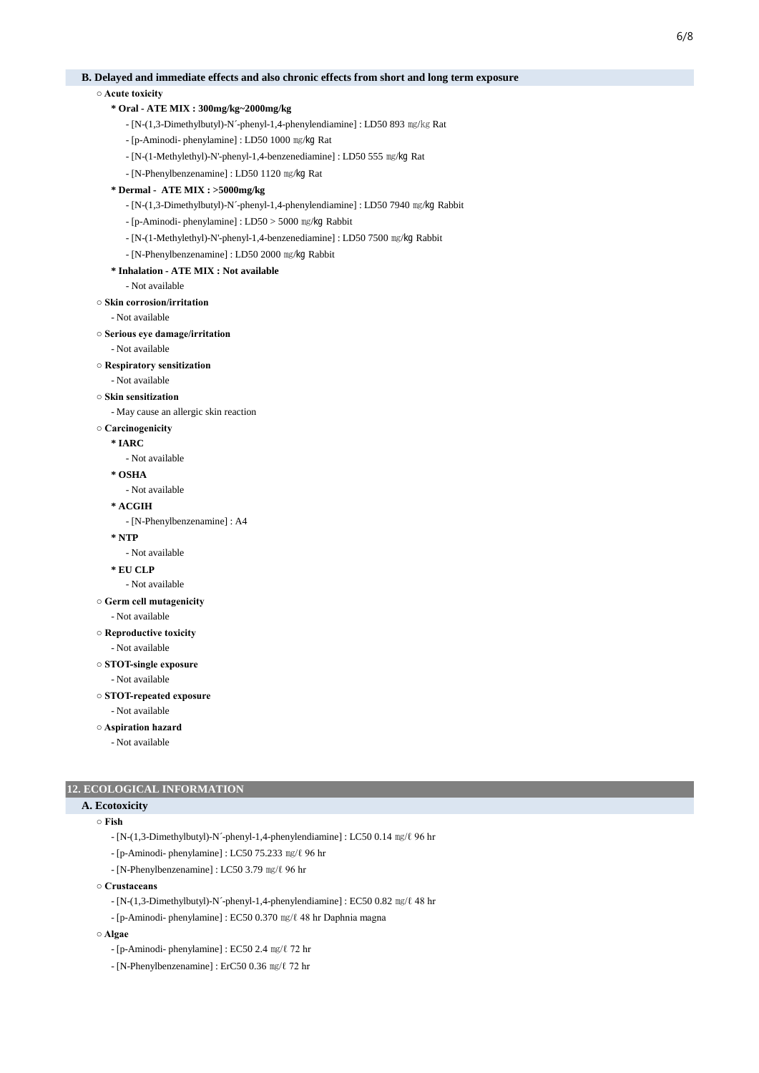## **B. Delayed and immediate effects and also chronic effects from short and long term exposure**

**○ Acute toxicity**

## **\* Oral - ATE MIX : 300mg/kg~2000mg/kg**

- [N-(1,3-Dimethylbutyl)-N´-phenyl-1,4-phenylendiamine] : LD50 893 ㎎/㎏ Rat
- [p-Aminodi- phenylamine] : LD50 1000 ㎎/㎏ Rat
- [N-(1-Methylethyl)-N'-phenyl-1,4-benzenediamine] : LD50 555 ㎎/㎏ Rat
- [N-Phenylbenzenamine] : LD50 1120 ㎎/㎏ Rat

## **\* Dermal - ATE MIX : >5000mg/kg**

- [N-(1,3-Dimethylbutyl)-N´-phenyl-1,4-phenylendiamine] : LD50 7940 ㎎/㎏ Rabbit
- [p-Aminodi- phenylamine] : LD50 > 5000 ㎎/㎏ Rabbit
- [N-(1-Methylethyl)-N'-phenyl-1,4-benzenediamine] : LD50 7500 ㎎/㎏ Rabbit
- [N-Phenylbenzenamine] : LD50 2000 ㎎/㎏ Rabbit
- **\* Inhalation ATE MIX : Not available**

### - Not available

**○ Skin corrosion/irritation**

- Not available

### **○ Serious eye damage/irritation**

### - Not available

### **○ Respiratory sensitization**

- Not available

**○ Skin sensitization**

- May cause an allergic skin reaction

### **○ Carcinogenicity**

- **\* IARC**
	- Not available

### **\* OSHA**

- Not available
- **\* ACGIH**

- [N-Phenylbenzenamine] : A4

### **\* NTP**

- Not available
- **\* EU CLP**
	- Not available

## **○ Germ cell mutagenicity**

- Not available
- **Reproductive toxicity**
	- Not available

## **○ STOT-single exposure**

- Not available

**○ STOT-repeated exposure**

### - Not available

**○ Aspiration hazard**

- Not available

## **12. ECOLOGICAL INFORMATION**

# **A. Ecotoxicity**

## **○ Fish**

- [N-(1,3-Dimethylbutyl)-N´-phenyl-1,4-phenylendiamine] : LC50 0.14 ㎎/ℓ 96 hr
- [p-Aminodi- phenylamine] : LC50 75.233 ㎎/ℓ 96 hr
- [N-Phenylbenzenamine] : LC50 3.79 ㎎/ℓ 96 hr

### **○ Crustaceans**

- [N-(1,3-Dimethylbutyl)-N´-phenyl-1,4-phenylendiamine] : EC50 0.82 ㎎/ℓ 48 hr
- [p-Aminodi- phenylamine] : EC50 0.370 ㎎/ℓ 48 hr Daphnia magna

## **○ Algae**

- [p-Aminodi- phenylamine] : EC50 2.4 ㎎/ℓ 72 hr
- [N-Phenylbenzenamine] : ErC50 0.36 ㎎/ℓ 72 hr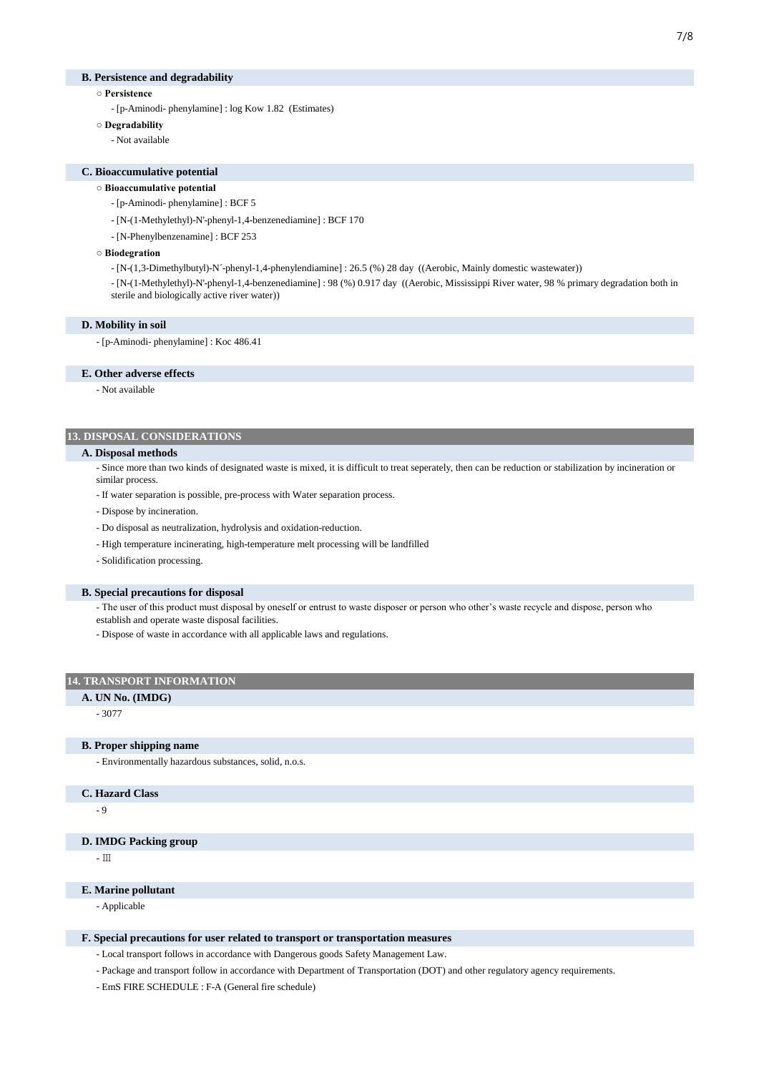## **B. Persistence and degradability**

- **Persistence**
	- [p-Aminodi- phenylamine] : log Kow 1.82 (Estimates)
- **Degradability**
	- Not available

### **C. Bioaccumulative potential**

- **Bioaccumulative potential**
	- [p-Aminodi- phenylamine] : BCF 5
	- [N-(1-Methylethyl)-N'-phenyl-1,4-benzenediamine] : BCF 170
	- [N-Phenylbenzenamine] : BCF 253
- **Biodegration**
	- [N-(1,3-Dimethylbutyl)-N´-phenyl-1,4-phenylendiamine] : 26.5 (%) 28 day ((Aerobic, Mainly domestic wastewater))

- [N-(1-Methylethyl)-N'-phenyl-1,4-benzenediamine] : 98 (%) 0.917 day ((Aerobic, Mississippi River water, 98 % primary degradation both in sterile and biologically active river water))

### **D. Mobility in soil**

- [p-Aminodi- phenylamine] : Koc 486.41

### **E. Other adverse effects**

- Not available

## **13. DISPOSAL CONSIDERATIONS**

### **A. Disposal methods**

- Since more than two kinds of designated waste is mixed, it is difficult to treat seperately, then can be reduction or stabilization by incineration or similar process.

- If water separation is possible, pre-process with Water separation process.
- Dispose by incineration.
- Do disposal as neutralization, hydrolysis and oxidation-reduction.
- High temperature incinerating, high-temperature melt processing will be landfilled
- Solidification processing.

### **B. Special precautions for disposal**

- The user of this product must disposal by oneself or entrust to waste disposer or person who other's waste recycle and dispose, person who establish and operate waste disposal facilities.

- Dispose of waste in accordance with all applicable laws and regulations.

## **14. TRANSPORT INFORMATION**

### **A. UN No. (IMDG)**

- 3077

## **B. Proper shipping name**

- Environmentally hazardous substances, solid, n.o.s.

## **C. Hazard Class**

- 9

## **D. IMDG Packing group**

- Ⅲ

## **E. Marine pollutant**

- Applicable

### **F. Special precautions for user related to transport or transportation measures**

- Local transport follows in accordance with Dangerous goods Safety Management Law.

- Package and transport follow in accordance with Department of Transportation (DOT) and other regulatory agency requirements.
- EmS FIRE SCHEDULE : F-A (General fire schedule)